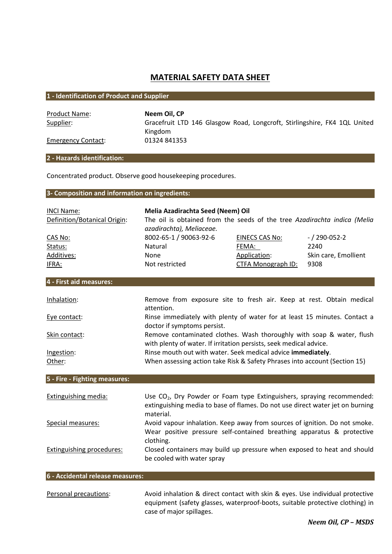# MATERIAL SAFETY DATA SHEET

## 1 - Identification of Product and Supplier

Product Name: Neem Oil, CP

Supplier: Gracefruit LTD 146 Glasgow Road, Longcroft, Stirlingshire, FK4 1QL United Kingdom Emergency Contact: 01324 841353

## 2 - Hazards identification:

Concentrated product. Observe good housekeeping procedures.

## 3- Composition and information on ingredients:

| <b>INCI Name:</b>                | Melia Azadirachta Seed (Neem) Oil                                                                                                                                                |                       |                      |
|----------------------------------|----------------------------------------------------------------------------------------------------------------------------------------------------------------------------------|-----------------------|----------------------|
| Definition/Botanical Origin:     | The oil is obtained from the seeds of the tree Azadirachta indica (Melia<br>azadirachta), Meliaceae.                                                                             |                       |                      |
| CAS No:                          | 8002-65-1 / 90063-92-6                                                                                                                                                           | <b>EINECS CAS No:</b> | $-$ / 290-052-2      |
| Status:                          | Natural                                                                                                                                                                          | FEMA:                 | 2240                 |
| Additives:                       | None                                                                                                                                                                             | Application:          | Skin care, Emollient |
| IFRA:                            | Not restricted                                                                                                                                                                   | CTFA Monograph ID:    | 9308                 |
| 4 - First aid measures:          |                                                                                                                                                                                  |                       |                      |
| Inhalation:                      | Remove from exposure site to fresh air. Keep at rest. Obtain medical<br>attention.                                                                                               |                       |                      |
| Eye contact:                     | Rinse immediately with plenty of water for at least 15 minutes. Contact a<br>doctor if symptoms persist.                                                                         |                       |                      |
| Skin contact:                    | Remove contaminated clothes. Wash thoroughly with soap & water, flush<br>with plenty of water. If irritation persists, seek medical advice.                                      |                       |                      |
| Ingestion:                       | Rinse mouth out with water. Seek medical advice immediately.                                                                                                                     |                       |                      |
| Other:                           | When assessing action take Risk & Safety Phrases into account (Section 15)                                                                                                       |                       |                      |
| 5 - Fire - Fighting measures:    |                                                                                                                                                                                  |                       |                      |
| <b>Extinguishing media:</b>      | Use CO <sub>2</sub> , Dry Powder or Foam type Extinguishers, spraying recommended:<br>extinguishing media to base of flames. Do not use direct water jet on burning<br>material. |                       |                      |
| Special measures:                | Avoid vapour inhalation. Keep away from sources of ignition. Do not smoke.<br>Wear positive pressure self-contained breathing apparatus & protective<br>clothing.                |                       |                      |
| <b>Extinguishing procedures:</b> | Closed containers may build up pressure when exposed to heat and should<br>be cooled with water spray                                                                            |                       |                      |
| 6 - Accidental release measures: |                                                                                                                                                                                  |                       |                      |

Personal precautions: Avoid inhalation & direct contact with skin & eyes. Use individual protective equipment (safety glasses, waterproof-boots, suitable protective clothing) in case of major spillages.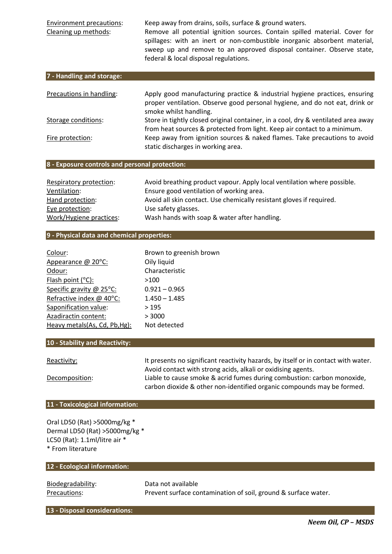Environment precautions: Keep away from drains, soils, surface & ground waters. Cleaning up methods: Remove all potential ignition sources. Contain spilled material. Cover for spillages: with an inert or non-combustible inorganic absorbent material, sweep up and remove to an approved disposal container. Observe state, federal & local disposal regulations.

| 7 - Handling and storage: |                                                                                   |
|---------------------------|-----------------------------------------------------------------------------------|
|                           |                                                                                   |
| Precautions in handling:  | Apply good manufacturing practice & industrial hygiene practices, ensuring        |
|                           | proper ventilation. Observe good personal hygiene, and do not eat, drink or       |
|                           | smoke whilst handling.                                                            |
| Storage conditions:       | Store in tightly closed original container, in a cool, dry & ventilated area away |
|                           | from heat sources & protected from light. Keep air contact to a minimum.          |
| Fire protection:          | Keep away from ignition sources & naked flames. Take precautions to avoid         |
|                           | static discharges in working area.                                                |

## 8 - Exposure controls and personal protection:

| Respiratory protection: | Avoid breathing product vapour. Apply local ventilation where possible. |
|-------------------------|-------------------------------------------------------------------------|
| Ventilation:            | Ensure good ventilation of working area.                                |
| Hand protection:        | Avoid all skin contact. Use chemically resistant gloves if required.    |
| Eye protection:         | Use safety glasses.                                                     |
| Work/Hygiene practices: | Wash hands with soap & water after handling.                            |

## 9 - Physical data and chemical properties:

| Colour:                       | Brown to greenish brown |
|-------------------------------|-------------------------|
| Appearance @ 20°C:            | Oily liquid             |
| Odour:                        | Characteristic          |
| Flash point $(^{\circ}C)$ :   | >100                    |
| Specific gravity @ 25°C:      | $0.921 - 0.965$         |
| Refractive index @ 40°C:      | $1.450 - 1.485$         |
| Saponification value:         | >195                    |
| Azadiractin content:          | > 3000                  |
| Heavy metals(As, Cd, Pb, Hg): | Not detected            |

## 10 - Stability and Reactivity:

| Reactivity:    | It presents no significant reactivity hazards, by itself or in contact with water. |
|----------------|------------------------------------------------------------------------------------|
|                | Avoid contact with strong acids, alkali or oxidising agents.                       |
| Decomposition: | Liable to cause smoke & acrid fumes during combustion: carbon monoxide,            |
|                | carbon dioxide & other non-identified organic compounds may be formed.             |

#### 11 - Toxicological information:

Oral LD50 (Rat) >5000mg/kg \* Dermal LD50 (Rat) >5000mg/kg \* LC50 (Rat): 1.1ml/litre air \* \* From literature

| Prevent surface contamination of soil, ground & surface water. |
|----------------------------------------------------------------|

13 - Disposal considerations: